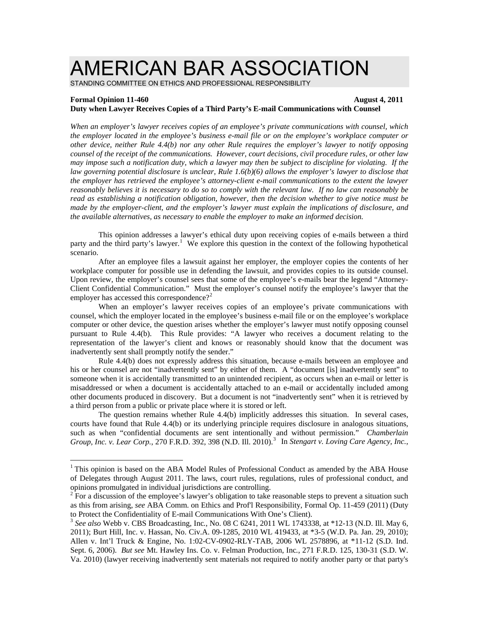## AMERICAN BAR ASSOCIATION

STANDING COMMITTEE ON ETHICS AND PROFESSIONAL RESPONSIBILITY

## **Formal Opinion 11-460 August 4, 2011**

 $\overline{a}$ 

## **Duty when Lawyer Receives Copies of a Third Party's E-mail Communications with Counsel**

*When an employer's lawyer receives copies of an employee's private communications with counsel, which the employer located in the employee's business e-mail file or on the employee's workplace computer or other device, neither Rule 4.4(b) nor any other Rule requires the employer's lawyer to notify opposing counsel of the receipt of the communications. However, court decisions, civil procedure rules, or other law may impose such a notification duty, which a lawyer may then be subject to discipline for violating. If the law governing potential disclosure is unclear, Rule 1.6(b)(6) allows the employer's lawyer to disclose that the employer has retrieved the employee's attorney-client e-mail communications to the extent the lawyer reasonably believes it is necessary to do so to comply with the relevant law. If no law can reasonably be read as establishing a notification obligation, however, then the decision whether to give notice must be made by the employer-client, and the employer's lawyer must explain the implications of disclosure, and the available alternatives, as necessary to enable the employer to make an informed decision.* 

 This opinion addresses a lawyer's ethical duty upon receiving copies of e-mails between a third party and the third party's lawyer.<sup>[1](#page-0-0)</sup> We explore this question in the context of the following hypothetical scenario.

 After an employee files a lawsuit against her employer, the employer copies the contents of her workplace computer for possible use in defending the lawsuit, and provides copies to its outside counsel. Upon review, the employer's counsel sees that some of the employee's e-mails bear the legend "Attorney-Client Confidential Communication." Must the employer's counsel notify the employee's lawyer that the employer has accessed this correspondence?<sup>[2](#page-0-1)</sup>

 When an employer's lawyer receives copies of an employee's private communications with counsel, which the employer located in the employee's business e-mail file or on the employee's workplace computer or other device, the question arises whether the employer's lawyer must notify opposing counsel pursuant to Rule 4.4(b). This Rule provides: "A lawyer who receives a document relating to the representation of the lawyer's client and knows or reasonably should know that the document was inadvertently sent shall promptly notify the sender."

 Rule 4.4(b) does not expressly address this situation, because e-mails between an employee and his or her counsel are not "inadvertently sent" by either of them. A "document [is] inadvertently sent" to someone when it is accidentally transmitted to an unintended recipient, as occurs when an e-mail or letter is misaddressed or when a document is accidentally attached to an e-mail or accidentally included among other documents produced in discovery. But a document is not "inadvertently sent" when it is retrieved by a third person from a public or private place where it is stored or left.

 The question remains whether Rule 4.4(b) implicitly addresses this situation. In several cases, courts have found that Rule 4.4(b) or its underlying principle requires disclosure in analogous situations, such as when "confidential documents are sent intentionally and without permission." *Chamberlain Group, Inc. v. Lear Corp., 270 F.R.D. [3](#page-0-2)92, 398 (N.D. Ill. 2010).*<sup>3</sup> In *Stengart v. Loving Care Agency, Inc.,* 

<span id="page-0-0"></span><sup>&</sup>lt;sup>1</sup> This opinion is based on the ABA Model Rules of Professional Conduct as amended by the ABA House of Delegates through August 2011. The laws, court rules, regulations, rules of professional conduct, and opinions promulgated in individual jurisdictions are controlling.

<span id="page-0-1"></span> $2^{2}$  For a discussion of the employee's lawyer's obligation to take reasonable steps to prevent a situation such as this from arising, *see* ABA Comm. on Ethics and Prof'l Responsibility, Formal Op. 11-459 (2011) (Duty to Protect the Confidentiality of E-mail Communications With One's Client).<br><sup>3</sup> *See also* Webb v. CBS Broadcasting, Inc., No. 08 C 6241, 2011 WL 1743338, at \*12-13 (N.D. Ill. May 6,

<span id="page-0-2"></span><sup>2011);</sup> Burt Hill, Inc. v. Hassan, No. Civ.A. 09-1285, 2010 WL 419433, at \*3-5 (W.D. Pa. Jan. 29, 2010); Allen v. Int'l Truck & Engine, No. 1:02-CV-0902-RLY-TAB, 2006 WL 2578896, at \*11-12 (S.D. Ind. Sept. 6, 2006). *But see* Mt. Hawley Ins. Co. v. Felman Production, Inc*.*, 271 F.R.D. 125, 130-31 (S.D. W. Va. 2010) (lawyer receiving inadvertently sent materials not required to notify another party or that party's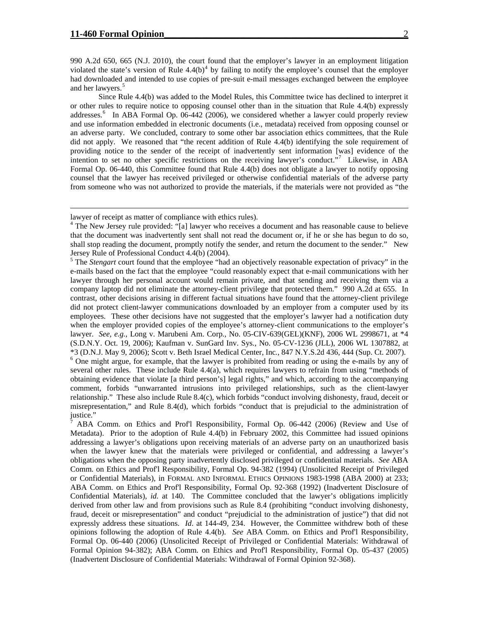990 A.2d 650, 665 (N.J. 2010), the court found that the employer's lawyer in an employment litigation violated the state's version of Rule  $4.4(b)^4$  $4.4(b)^4$  by failing to notify the employee's counsel that the employer had downloaded and intended to use copies of pre-suit e-mail messages exchanged between the employee and her lawyers.<sup>[5](#page-1-1)</sup>

 Since Rule 4.4(b) was added to the Model Rules, this Committee twice has declined to interpret it or other rules to require notice to opposing counsel other than in the situation that Rule 4.4(b) expressly addresses.<sup>[6](#page-1-2)</sup> In ABA Formal Op. 06-442 (2006), we considered whether a lawyer could properly review and use information embedded in electronic documents (i.e., metadata) received from opposing counsel or an adverse party. We concluded, contrary to some other bar association ethics committees, that the Rule did not apply. We reasoned that "the recent addition of Rule 4.4(b) identifying the sole requirement of providing notice to the sender of the receipt of inadvertently sent information [was] evidence of the intention to set no other specific restrictions on the receiving lawyer's conduct."<sup>[7](#page-1-3)</sup> Likewise, in ABA Formal Op. 06-440, this Committee found that Rule 4.4(b) does not obligate a lawyer to notify opposing counsel that the lawyer has received privileged or otherwise confidential materials of the adverse party from someone who was not authorized to provide the materials, if the materials were not provided as "the

<span id="page-1-3"></span><span id="page-1-2"></span>7 ABA Comm. on Ethics and Prof'l Responsibility, Formal Op. 06-442 (2006) (Review and Use of Metadata). Prior to the adoption of Rule 4.4(b) in February 2002, this Committee had issued opinions addressing a lawyer's obligations upon receiving materials of an adverse party on an unauthorized basis when the lawyer knew that the materials were privileged or confidential, and addressing a lawyer's obligations when the opposing party inadvertently disclosed privileged or confidential materials. *See* ABA Comm. on Ethics and Prof'l Responsibility, Formal Op. 94-382 (1994) (Unsolicited Receipt of Privileged or Confidential Materials), in FORMAL AND INFORMAL ETHICS OPINIONS 1983-1998 (ABA 2000) at 233; ABA Comm. on Ethics and Prof'l Responsibility, Formal Op. 92-368 (1992) (Inadvertent Disclosure of Confidential Materials), *id*. at 140. The Committee concluded that the lawyer's obligations implicitly derived from other law and from provisions such as Rule 8.4 (prohibiting "conduct involving dishonesty, fraud, deceit or misrepresentation" and conduct "prejudicial to the administration of justice") that did not expressly address these situations. *Id*. at 144-49, 234. However, the Committee withdrew both of these opinions following the adoption of Rule 4.4(b). *See* ABA Comm. on Ethics and Prof'l Responsibility, Formal Op. 06-440 (2006) (Unsolicited Receipt of Privileged or Confidential Materials: Withdrawal of Formal Opinion 94-382); ABA Comm. on Ethics and Prof'l Responsibility, Formal Op. 05-437 (2005) (Inadvertent Disclosure of Confidential Materials: Withdrawal of Formal Opinion 92-368).

lawyer of receipt as matter of compliance with ethics rules).

<span id="page-1-0"></span><sup>&</sup>lt;sup>4</sup> The New Jersey rule provided: "[a] lawyer who receives a document and has reasonable cause to believe that the document was inadvertently sent shall not read the document or, if he or she has begun to do so, shall stop reading the document, promptly notify the sender, and return the document to the sender." New Jersey Rule of Professional Conduct 4.4(b) (2004).

<span id="page-1-1"></span><sup>&</sup>lt;sup>5</sup> The *Stengart* court found that the employee "had an objectively reasonable expectation of privacy" in the e-mails based on the fact that the employee "could reasonably expect that e-mail communications with her lawyer through her personal account would remain private, and that sending and receiving them via a company laptop did not eliminate the attorney-client privilege that protected them." 990 A.2d at 655. In contrast, other decisions arising in different factual situations have found that the attorney-client privilege did not protect client-lawyer communications downloaded by an employer from a computer used by its employees. These other decisions have not suggested that the employer's lawyer had a notification duty when the employer provided copies of the employee's attorney-client communications to the employer's lawyer. *See, e.g.*, Long v. Marubeni Am. Corp*.*, No. 05-CIV-639(GEL)(KNF), 2006 WL 2998671, at \*4 (S.D.N.Y. Oct. 19, 2006); Kaufman v. SunGard Inv. Sys*.*, No. 05-CV-1236 (JLL), 2006 WL 1307882, at \*3 (D.N.J. May 9, 2006); Scott v. Beth Israel Medical Center, Inc*.*, 847 N.Y.S.2d 436, 444 (Sup. Ct. 2007). 6  $6$  One might argue, for example, that the lawyer is prohibited from reading or using the e-mails by any of several other rules. These include Rule 4.4(a), which requires lawyers to refrain from using "methods of obtaining evidence that violate [a third person's] legal rights," and which, according to the accompanying comment, forbids "unwarranted intrusions into privileged relationships, such as the client-lawyer relationship." These also include Rule 8.4(c), which forbids "conduct involving dishonesty, fraud, deceit or misrepresentation," and Rule 8.4(d), which forbids "conduct that is prejudicial to the administration of justice."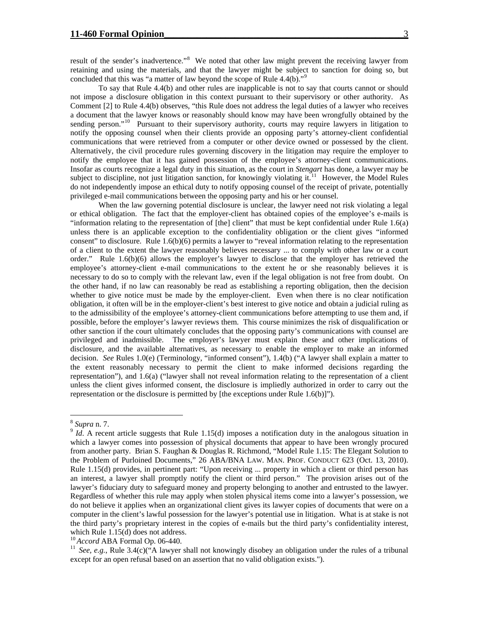result of the sender's inadvertence."<sup>[8](#page-2-0)</sup> We noted that other law might prevent the receiving lawyer from retaining and using the materials, and that the lawyer might be subject to sanction for doing so, but concluded that this was "a matter of law beyond the scope of Rule 4.4(b)."

 To say that Rule 4.4(b) and other rules are inapplicable is not to say that courts cannot or should not impose a disclosure obligation in this context pursuant to their supervisory or other authority. As Comment [2] to Rule 4.4(b) observes, "this Rule does not address the legal duties of a lawyer who receives a document that the lawyer knows or reasonably should know may have been wrongfully obtained by the sending person."<sup>[10](#page-2-2)</sup> Pursuant to their supervisory authority, courts may require lawyers in litigation to notify the opposing counsel when their clients provide an opposing party's attorney-client confidential communications that were retrieved from a computer or other device owned or possessed by the client. Alternatively, the civil procedure rules governing discovery in the litigation may require the employer to notify the employee that it has gained possession of the employee's attorney-client communications. Insofar as courts recognize a legal duty in this situation, as the court in *Stengart* has done, a lawyer may be subject to discipline, not just litigation sanction, for knowingly violating it.<sup>[11](#page-2-3)</sup> However, the Model Rules do not independently impose an ethical duty to notify opposing counsel of the receipt of private, potentially privileged e-mail communications between the opposing party and his or her counsel.

 When the law governing potential disclosure is unclear, the lawyer need not risk violating a legal or ethical obligation. The fact that the employer-client has obtained copies of the employee's e-mails is "information relating to the representation of [the] client" that must be kept confidential under Rule 1.6(a) unless there is an applicable exception to the confidentiality obligation or the client gives "informed consent" to disclosure. Rule 1.6(b)(6) permits a lawyer to "reveal information relating to the representation of a client to the extent the lawyer reasonably believes necessary ... to comply with other law or a court order." Rule 1.6(b)(6) allows the employer's lawyer to disclose that the employer has retrieved the employee's attorney-client e-mail communications to the extent he or she reasonably believes it is necessary to do so to comply with the relevant law, even if the legal obligation is not free from doubt. On the other hand, if no law can reasonably be read as establishing a reporting obligation, then the decision whether to give notice must be made by the employer-client. Even when there is no clear notification obligation, it often will be in the employer-client's best interest to give notice and obtain a judicial ruling as to the admissibility of the employee's attorney-client communications before attempting to use them and, if possible, before the employer's lawyer reviews them. This course minimizes the risk of disqualification or other sanction if the court ultimately concludes that the opposing party's communications with counsel are privileged and inadmissible. The employer's lawyer must explain these and other implications of disclosure, and the available alternatives, as necessary to enable the employer to make an informed decision. *See* Rules 1.0(e) (Terminology, "informed consent"), 1.4(b) ("A lawyer shall explain a matter to the extent reasonably necessary to permit the client to make informed decisions regarding the representation"), and 1.6(a) ("lawyer shall not reveal information relating to the representation of a client unless the client gives informed consent, the disclosure is impliedly authorized in order to carry out the representation or the disclosure is permitted by [the exceptions under Rule 1.6(b)]").

 $\overline{a}$ 

<span id="page-2-1"></span><span id="page-2-0"></span><sup>&</sup>lt;sup>8</sup> *Supra* n. 7. <sup>9</sup> *Id*. A recent article suggests that Rule 1.15(d) imposes a notification duty in the analogous situation in which a lawyer comes into possession of physical documents that appear to have been wrongly procured from another party. Brian S. Faughan & Douglas R. Richmond, "Model Rule 1.15: The Elegant Solution to the Problem of Purloined Documents," 26 ABA/BNA LAW. MAN. PROF. CONDUCT 623 (Oct. 13, 2010). Rule 1.15(d) provides, in pertinent part: "Upon receiving ... property in which a client or third person has an interest, a lawyer shall promptly notify the client or third person." The provision arises out of the lawyer's fiduciary duty to safeguard money and property belonging to another and entrusted to the lawyer. Regardless of whether this rule may apply when stolen physical items come into a lawyer's possession, we do not believe it applies when an organizational client gives its lawyer copies of documents that were on a computer in the client's lawful possession for the lawyer's potential use in litigation. What is at stake is not the third party's proprietary interest in the copies of e-mails but the third party's confidentiality interest, which Rule 1.15(d) does not address.<br> $^{10}$  *Accord* ABA Formal Op. 06-440.

<span id="page-2-3"></span><span id="page-2-2"></span><sup>&</sup>lt;sup>11</sup> *See, e.g.*, Rule 3.4(c)("A lawyer shall not knowingly disobey an obligation under the rules of a tribunal except for an open refusal based on an assertion that no valid obligation exists.").